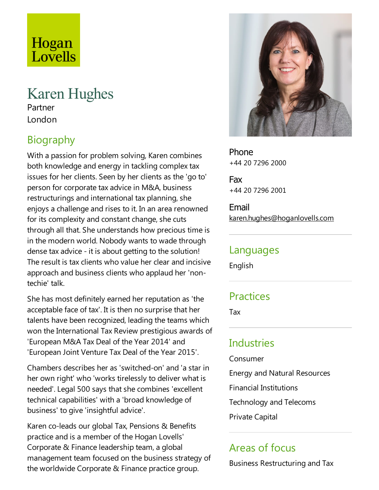# Hogan Lovells

## Karen Hughes

Partner London

### Biography

With a passion for problem solving, Karen combines both knowledge and energy in tackling complex tax issues for her clients. Seen by her clients as the'go to' person for corporate tax advice in M&A, business restructurings and international tax planning, she enjoys a challenge and rises to it. In an area renowned for its complexity and constant change, she cuts through all that. She understands how precious time is in the modern world. Nobody wants to wade through dense tax advice - it is about getting to the solution! The result is tax clients who value her clear and incisive approach and business clients who applaud her 'nontechie' talk.

She has most definitely earned her reputation as 'the acceptable face of tax'. It is then no surprise that her talents have been recognized, leading the teams which won the International Tax Review prestigious awards of 'European M&A Tax Deal of the Year 2014' and 'European Joint Venture Tax Deal of the Year 2015'.

Chambers describes her as 'switched-on' and 'astar in her own right' who 'works tirelessly to deliver what is needed'. Legal 500 says that she combines 'excellent technical capabilities' with a'broad knowledge of business' to give'insightful advice'.

Karen co-leads our global Tax, Pensions & Benefits practice and is a member of the Hogan Lovells' Corporate & Finance leadership team, a global management team focused on the business strategy of the worldwide Corporate & Finance practice group.



Phone +44 20 7296 2000

Fax +44 20 7296 2001

Email karen.hughes@hoganlovells.com

#### Languages

English

#### Practices

Tax

#### Industries

Consumer

Energy and Natural Resources

Financial Institutions

Technology and Telecoms

Private Capital

#### Areas of focus

Business Restructuring and Tax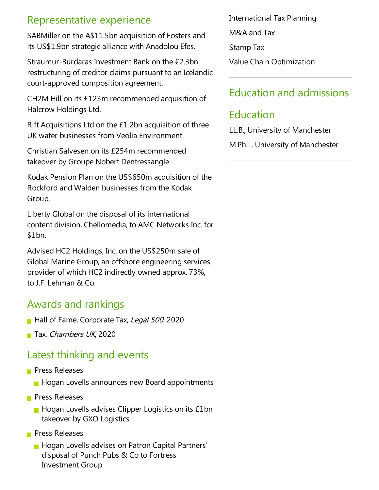#### Representative experience

SABMiller on the A\$11.5bn acquisition of Fosters and its US\$1.9bn strategic alliance with Anadolou Efes.

Straumur-Burdaras Investment Bank on the €2.3bn restructuring of creditor claims pursuant to an Icelandic court-approved composition agreement.

CH2M Hill on its £123m recommended acquisition of Halcrow Holdings Ltd.

Rift Acquisitions Ltd on the £1.2bn acquisition of three UK water businesses from Veolia Environment.

Christian Salvesen on its £254m recommended takeover by Groupe Nobert Dentressangle.

Kodak Pension Plan on the US\$650m acquisition of the Rockford and Walden businesses from the Kodak Group.

Liberty Global on the disposal of its international content division, Chellomedia, to AMC Networks Inc. for \$1bn.

Advised HC2 Holdings, Inc. on the US\$250m sale of Global Marine Group, an offshore engineering services provider of which HC2 indirectly owned approx. 73%, to J.F. Lehman & Co.

### Awards and rankings

- Hall of Fame, Corporate Tax, Legal 500, 2020
- Tax, Chambers UK, 2020

#### Latest thinking and events

- **Press Releases** 
	- **Hogan Lovells announces new Board appointments**
- **Press Releases** 
	- $\blacksquare$  Hogan Lovells advises Clipper Logistics on its £1bn takeover by GXO Logistics
- **Press Releases** 
	- **Hogan Lovells advises on Patron Capital Partners'** disposal of Punch Pubs & Co to Fortress Investment Group

International Tax Planning

M&A and Tax

Stamp Tax

Value Chain Optimization

#### Education and admissions

#### Education

LL.B., University of Manchester

M.Phil., University of Manchester